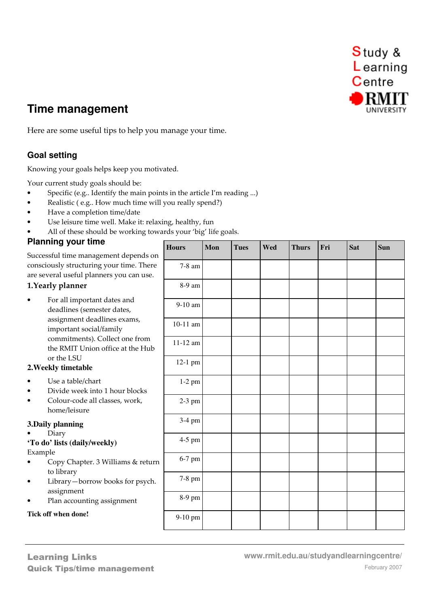

# **Time management**

Here are some useful tips to help you manage your time.

# **Goal setting**

Knowing your goals helps keep you motivated.

Your current study goals should be:

- Specific (e.g.. Identify the main points in the article I'm reading ...)
- Realistic ( e.g.. How much time will you really spend?)
- Have a completion time/date
- Use leisure time well. Make it: relaxing, healthy, fun
- All of these should be working towards your 'big' life goals.

### **Planning your time**

Successful time management depends on consciously structuring your time. There are several useful planners you can use.

#### 1.Yearly planner

• For all important dates and deadlines (semester dates, assignment deadlines exams, important social/family commitments). Collect one from the RMIT Union office at the Hub or the LSU

#### **2.Weekly timetable**

- Use a table/chart
- Divide week into 1 hour blocks
- Colour-code all classes, work, home/leisure

#### **3.Daily planning**

• Diary

# **'To do' lists (daily/weekly)**

Example

- Copy Chapter. 3 Williams & retu to library
- Library-borrow books for psych assignment
- Plan accounting assignment

#### **Tick off when done!**

| m                          | <b>Hours</b>       | Mon | <b>Tues</b> | Wed | <b>Thurs</b> | Fri | Sat | Sun |
|----------------------------|--------------------|-----|-------------|-----|--------------|-----|-----|-----|
| 'e<br>$\ddot{\phantom{0}}$ | $7-8\ \mathrm{am}$ |     |             |     |              |     |     |     |
|                            | $8-9\ \mathrm{am}$ |     |             |     |              |     |     |     |
|                            | $9-10\;{\rm am}$   |     |             |     |              |     |     |     |
|                            | $10-11$ am         |     |             |     |              |     |     |     |
| $\mathbf{c}$               | $11\mbox{-}12$ am  |     |             |     |              |     |     |     |
|                            | $12-1$ pm          |     |             |     |              |     |     |     |
|                            | $1-2$ pm           |     |             |     |              |     |     |     |
|                            | $2-3$ pm           |     |             |     |              |     |     |     |
|                            | 3-4 pm             |     |             |     |              |     |     |     |
|                            | 4-5 pm             |     |             |     |              |     |     |     |
| rn                         | 6-7 pm             |     |             |     |              |     |     |     |
| ì.                         | 7-8 pm             |     |             |     |              |     |     |     |
|                            | 8-9 pm             |     |             |     |              |     |     |     |
|                            | 9-10 pm            |     |             |     |              |     |     |     |